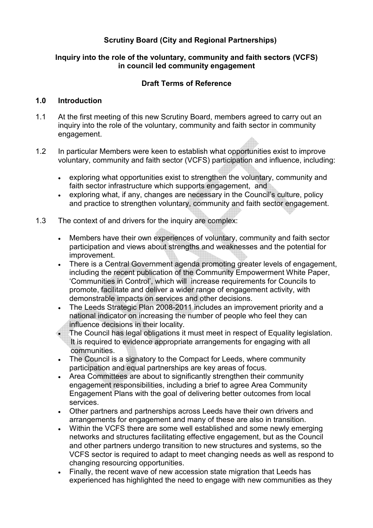## Scrutiny Board (City and Regional Partnerships)

#### Inquiry into the role of the voluntary, community and faith sectors (VCFS) in council led community engagement

#### Draft Terms of Reference

#### 1.0 Introduction

- 1.1 At the first meeting of this new Scrutiny Board, members agreed to carry out an inquiry into the role of the voluntary, community and faith sector in community engagement.
- 1.2 In particular Members were keen to establish what opportunities exist to improve voluntary, community and faith sector (VCFS) participation and influence, including:
	- exploring what opportunities exist to strengthen the voluntary, community and faith sector infrastructure which supports engagement, and
	- exploring what, if any, changes are necessary in the Council's culture, policy and practice to strengthen voluntary, community and faith sector engagement.
- 1.3 The context of and drivers for the inquiry are complex:
	- Members have their own experiences of voluntary, community and faith sector participation and views about strengths and weaknesses and the potential for improvement.
	- There is a Central Government agenda promoting greater levels of engagement, including the recent publication of the Community Empowerment White Paper, 'Communities in Control', which will increase requirements for Councils to promote, facilitate and deliver a wider range of engagement activity, with demonstrable impacts on services and other decisions.
	- The Leeds Strategic Plan 2008-2011 includes an improvement priority and a national indicator on increasing the number of people who feel they can influence decisions in their locality.
	- The Council has legal obligations it must meet in respect of Equality legislation. It is required to evidence appropriate arrangements for engaging with all communities.
	- The Council is a signatory to the Compact for Leeds, where community participation and equal partnerships are key areas of focus.
	- Area Committees are about to significantly strengthen their community engagement responsibilities, including a brief to agree Area Community Engagement Plans with the goal of delivering better outcomes from local services.
	- Other partners and partnerships across Leeds have their own drivers and arrangements for engagement and many of these are also in transition.
	- Within the VCFS there are some well established and some newly emerging networks and structures facilitating effective engagement, but as the Council and other partners undergo transition to new structures and systems, so the VCFS sector is required to adapt to meet changing needs as well as respond to changing resourcing opportunities.
	- Finally, the recent wave of new accession state migration that Leeds has experienced has highlighted the need to engage with new communities as they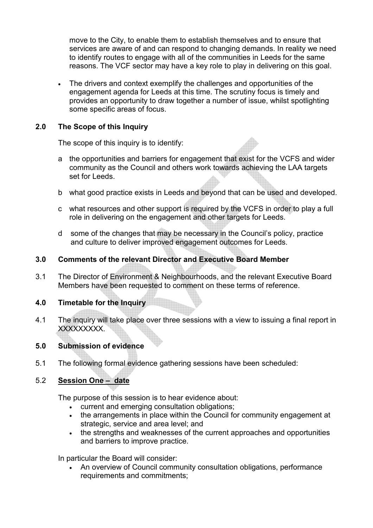move to the City, to enable them to establish themselves and to ensure that services are aware of and can respond to changing demands. In reality we need to identify routes to engage with all of the communities in Leeds for the same reasons. The VCF sector may have a key role to play in delivering on this goal.

• The drivers and context exemplify the challenges and opportunities of the engagement agenda for Leeds at this time. The scrutiny focus is timely and provides an opportunity to draw together a number of issue, whilst spotlighting some specific areas of focus.

## 2.0 The Scope of this Inquiry

The scope of this inquiry is to identify:

- a the opportunities and barriers for engagement that exist for the VCFS and wider community as the Council and others work towards achieving the LAA targets set for Leeds.
- b what good practice exists in Leeds and beyond that can be used and developed.
- c what resources and other support is required by the VCFS in order to play a full role in delivering on the engagement and other targets for Leeds.
- d some of the changes that may be necessary in the Council's policy, practice and culture to deliver improved engagement outcomes for Leeds.

## 3.0 Comments of the relevant Director and Executive Board Member

3.1 The Director of Environment & Neighbourhoods, and the relevant Executive Board Members have been requested to comment on these terms of reference.

## 4.0 Timetable for the Inquiry

4.1 The inquiry will take place over three sessions with a view to issuing a final report in XXXXXXXXX.

## 5.0 Submission of evidence

5.1 The following formal evidence gathering sessions have been scheduled:

# 5.2 Session One – date

The purpose of this session is to hear evidence about:

- current and emerging consultation obligations;
- the arrangements in place within the Council for community engagement at strategic, service and area level; and
- the strengths and weaknesses of the current approaches and opportunities and barriers to improve practice.

In particular the Board will consider:

• An overview of Council community consultation obligations, performance requirements and commitments;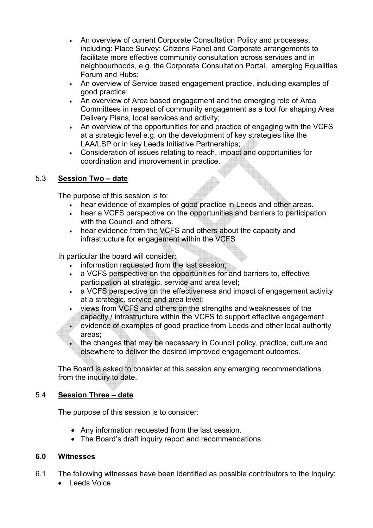- An overview of current Corporate Consultation Policy and processes, including: Place Survey; Citizens Panel and Corporate arrangements to facilitate more effective community consultation across services and in neighbourhoods, e.g. the Corporate Consultation Portal, emerging Equalities Forum and Hubs;
- An overview of Service based engagement practice, including examples of good practice;
- An overview of Area based engagement and the emerging role of Area Committees in respect of community engagement as a tool for shaping Area Delivery Plans, local services and activity;
- An overview of the opportunities for and practice of engaging with the VCFS at a strategic level e.g. on the development of key strategies like the LAA/LSP or in key Leeds Initiative Partnerships;
- Consideration of issues relating to reach, impact and opportunities for coordination and improvement in practice.

# 5.3 Session Two – date

The purpose of this session is to:

- hear evidence of examples of good practice in Leeds and other areas.
- hear a VCFS perspective on the opportunities and barriers to participation with the Council and others.
- hear evidence from the VCFS and others about the capacity and infrastructure for engagement within the VCFS

In particular the board will consider:

- information requested from the last session;
- a VCFS perspective on the opportunities for and barriers to, effective participation at strategic, service and area level;
- a VCFS perspective on the effectiveness and impact of engagement activity at a strategic, service and area level;
- views from VCFS and others on the strengths and weaknesses of the capacity / infrastructure within the VCFS to support effective engagement.
- evidence of examples of good practice from Leeds and other local authority areas;
- the changes that may be necessary in Council policy, practice, culture and elsewhere to deliver the desired improved engagement outcomes.

The Board is asked to consider at this session any emerging recommendations from the inquiry to date.

# 5.4 Session Three – date

The purpose of this session is to consider:

- Any information requested from the last session.
- The Board's draft inquiry report and recommendations.

## 6.0 Witnesses

- 6.1 The following witnesses have been identified as possible contributors to the Inquiry:
	- Leeds Voice